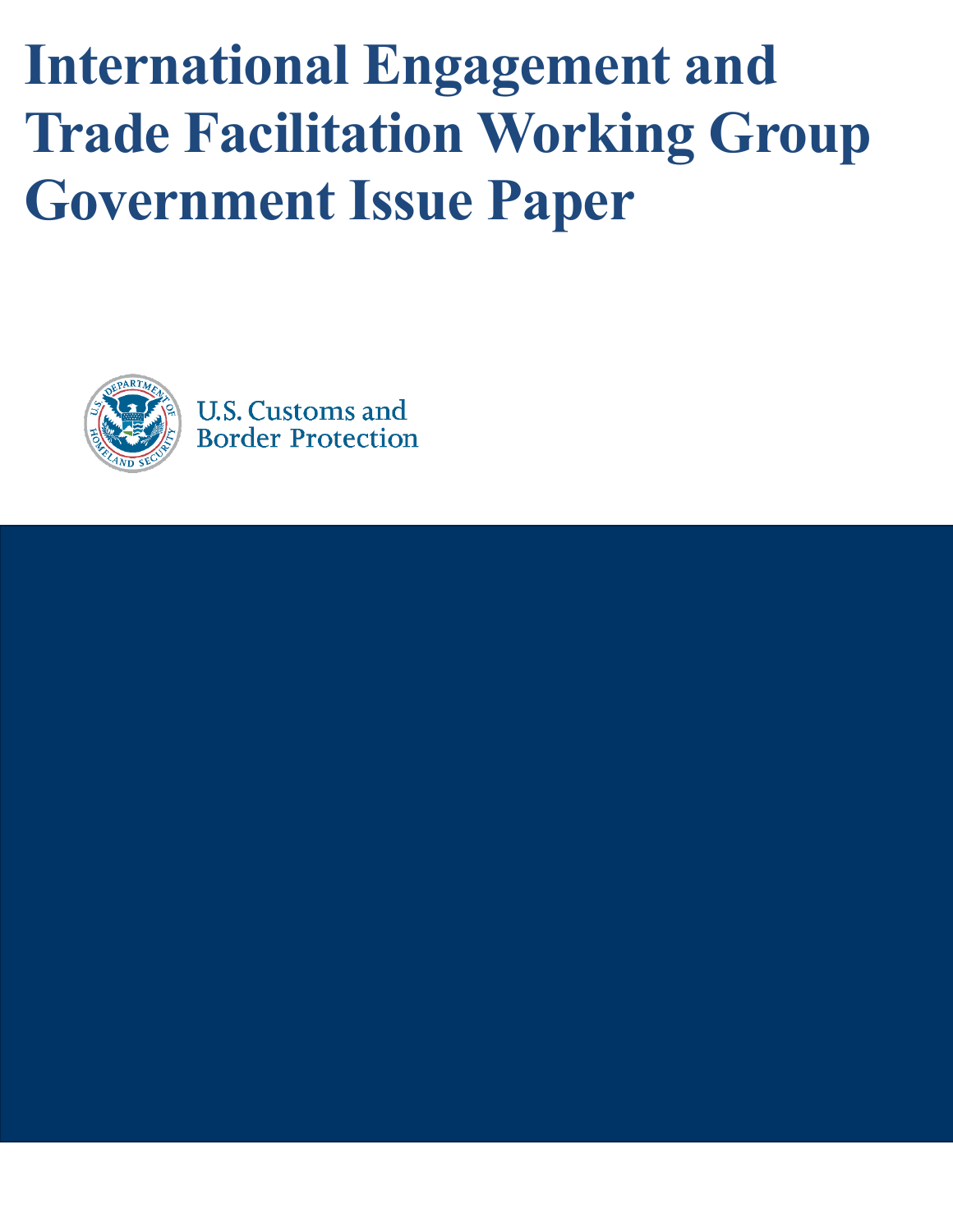**International Engagement and Trade Facilitation Working Group Government Issue Paper**



**Border Protection**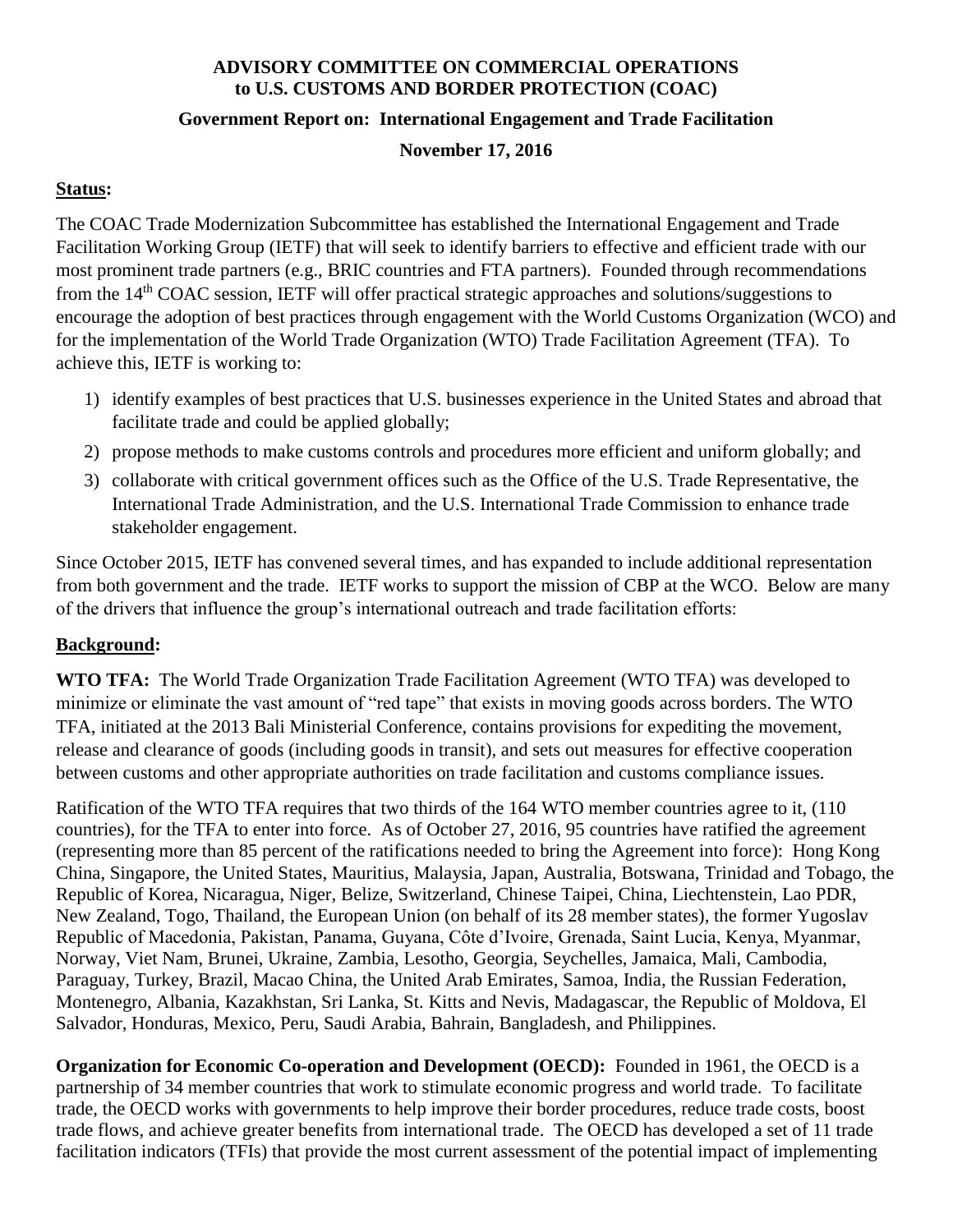### **ADVISORY COMMITTEE ON COMMERCIAL OPERATIONS to U.S. CUSTOMS AND BORDER PROTECTION (COAC)**

#### **Government Report on: International Engagement and Trade Facilitation**

### **November 17, 2016**

## **Status:**

The COAC Trade Modernization Subcommittee has established the International Engagement and Trade Facilitation Working Group (IETF) that will seek to identify barriers to effective and efficient trade with our most prominent trade partners (e.g., BRIC countries and FTA partners). Founded through recommendations from the 14th COAC session, IETF will offer practical strategic approaches and solutions/suggestions to encourage the adoption of best practices through engagement with the World Customs Organization (WCO) and for the implementation of the World Trade Organization (WTO) Trade Facilitation Agreement (TFA). To achieve this, IETF is working to:

- 1) identify examples of best practices that U.S. businesses experience in the United States and abroad that facilitate trade and could be applied globally;
- 2) propose methods to make customs controls and procedures more efficient and uniform globally; and
- 3) collaborate with critical government offices such as the Office of the U.S. Trade Representative, the International Trade Administration, and the U.S. International Trade Commission to enhance trade stakeholder engagement.

Since October 2015, IETF has convened several times, and has expanded to include additional representation from both government and the trade. IETF works to support the mission of CBP at the WCO. Below are many of the drivers that influence the group's international outreach and trade facilitation efforts:

# **Background:**

**WTO TFA:** The World Trade Organization Trade Facilitation Agreement (WTO TFA) was developed to minimize or eliminate the vast amount of "red tape" that exists in moving goods across borders. The WTO TFA, initiated at the 2013 Bali Ministerial Conference, contains provisions for expediting the movement, release and clearance of goods (including goods in transit), and sets out measures for effective cooperation between customs and other appropriate authorities on trade facilitation and customs compliance issues.

Ratification of the WTO TFA requires that two thirds of the 164 WTO member countries agree to it, (110 countries), for the TFA to enter into force. As of October 27, 2016, 95 countries have ratified the agreement (representing more than 85 percent of the ratifications needed to bring the Agreement into force): Hong Kong China, Singapore, the United States, Mauritius, Malaysia, Japan, Australia, Botswana, Trinidad and Tobago, the Republic of Korea, Nicaragua, Niger, Belize, Switzerland, Chinese Taipei, China, Liechtenstein, Lao PDR, New Zealand, Togo, Thailand, the European Union (on behalf of its 28 member states), the former Yugoslav Republic of Macedonia, Pakistan, Panama, Guyana, Côte d'Ivoire, Grenada, Saint Lucia, Kenya, Myanmar, Norway, Viet Nam, Brunei, Ukraine, Zambia, Lesotho, Georgia, Seychelles, Jamaica, Mali, Cambodia, Paraguay, Turkey, Brazil, Macao China, the United Arab Emirates, Samoa, India, the Russian Federation, Montenegro, Albania, Kazakhstan, Sri Lanka, St. Kitts and Nevis, Madagascar, the Republic of Moldova, El Salvador, Honduras, Mexico, Peru, Saudi Arabia, Bahrain, Bangladesh, and Philippines.

**Organization for Economic Co-operation and Development (OECD):** Founded in 1961, the OECD is a partnership of 34 member countries that work to stimulate economic progress and world trade. To facilitate trade, the OECD works with governments to help improve their border procedures, reduce trade costs, boost trade flows, and achieve greater benefits from international trade. The OECD has developed a set of 11 trade facilitation indicators (TFIs) that provide the most current assessment of the potential impact of implementing